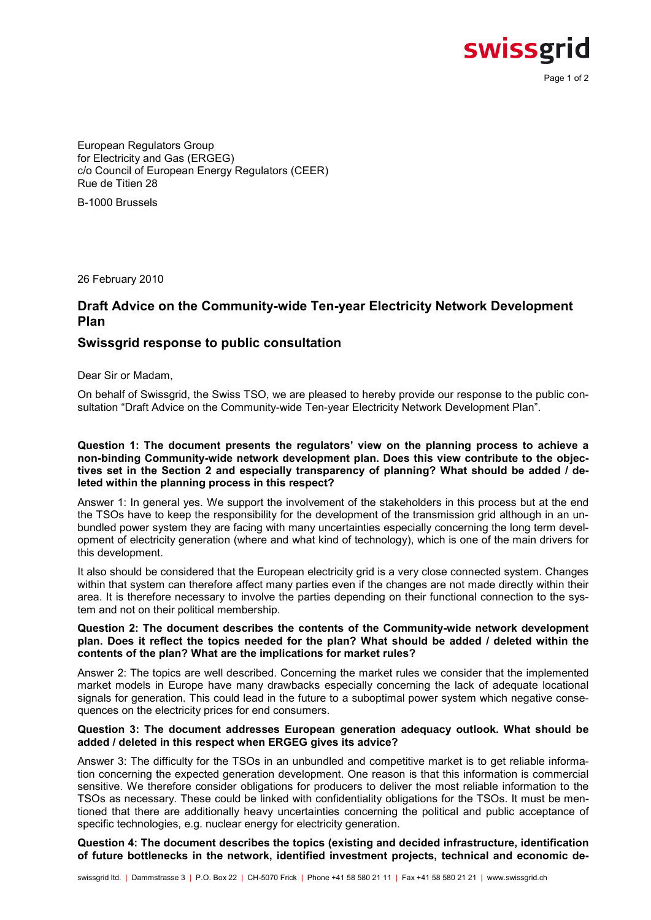swissgrid

Page 1 of 2

European Regulators Group for Electricity and Gas (ERGEG) c/o Council of European Energy Regulators (CEER) Rue de Titien 28

B-1000 Brussels

26 February 2010

## Draft Advice on the Community-wide Ten-year Electricity Network Development Plan

### Swissgrid response to public consultation

Dear Sir or Madam,

On behalf of Swissgrid, the Swiss TSO, we are pleased to hereby provide our response to the public consultation "Draft Advice on the Community-wide Ten-year Electricity Network Development Plan".

### Question 1: The document presents the regulators' view on the planning process to achieve a non-binding Community-wide network development plan. Does this view contribute to the objectives set in the Section 2 and especially transparency of planning? What should be added / deleted within the planning process in this respect?

Answer 1: In general yes. We support the involvement of the stakeholders in this process but at the end the TSOs have to keep the responsibility for the development of the transmission grid although in an unbundled power system they are facing with many uncertainties especially concerning the long term development of electricity generation (where and what kind of technology), which is one of the main drivers for this development.

It also should be considered that the European electricity grid is a very close connected system. Changes within that system can therefore affect many parties even if the changes are not made directly within their area. It is therefore necessary to involve the parties depending on their functional connection to the system and not on their political membership.

### Question 2: The document describes the contents of the Community-wide network development plan. Does it reflect the topics needed for the plan? What should be added / deleted within the contents of the plan? What are the implications for market rules?

Answer 2: The topics are well described. Concerning the market rules we consider that the implemented market models in Europe have many drawbacks especially concerning the lack of adequate locational signals for generation. This could lead in the future to a suboptimal power system which negative consequences on the electricity prices for end consumers.

### Question 3: The document addresses European generation adequacy outlook. What should be added / deleted in this respect when ERGEG gives its advice?

Answer 3: The difficulty for the TSOs in an unbundled and competitive market is to get reliable information concerning the expected generation development. One reason is that this information is commercial sensitive. We therefore consider obligations for producers to deliver the most reliable information to the TSOs as necessary. These could be linked with confidentiality obligations for the TSOs. It must be mentioned that there are additionally heavy uncertainties concerning the political and public acceptance of specific technologies, e.g. nuclear energy for electricity generation.

Question 4: The document describes the topics (existing and decided infrastructure, identification of future bottlenecks in the network, identified investment projects, technical and economic de-